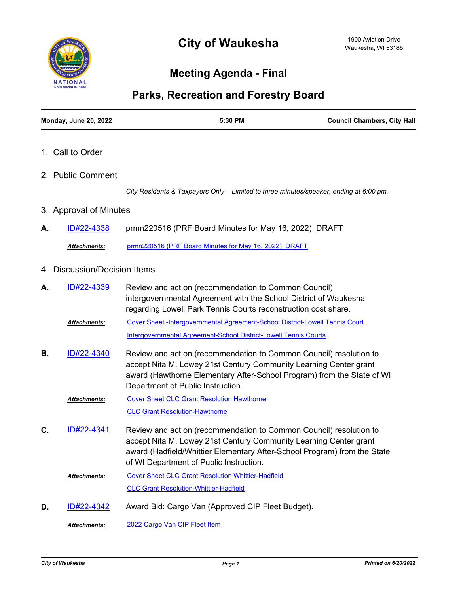

## **Meeting Agenda - Final**



| <b>Monday, June 20, 2022</b>           | 5:30 PM                                                                                                                                                                                                                                                        | <b>Council Chambers, City Hall</b> |
|----------------------------------------|----------------------------------------------------------------------------------------------------------------------------------------------------------------------------------------------------------------------------------------------------------------|------------------------------------|
| 1. Call to Order                       |                                                                                                                                                                                                                                                                |                                    |
| 2. Public Comment                      |                                                                                                                                                                                                                                                                |                                    |
|                                        | City Residents & Taxpayers Only - Limited to three minutes/speaker, ending at 6:00 pm.                                                                                                                                                                         |                                    |
| 3. Approval of Minutes                 |                                                                                                                                                                                                                                                                |                                    |
| ID#22-4338<br>А.                       | prmn220516 (PRF Board Minutes for May 16, 2022) DRAFT                                                                                                                                                                                                          |                                    |
| Attachments:                           | prmn220516 (PRF Board Minutes for May 16, 2022) DRAFT                                                                                                                                                                                                          |                                    |
| <b>Discussion/Decision Items</b><br>4. |                                                                                                                                                                                                                                                                |                                    |
| <u>ID#22-4339</u><br>А.                | Review and act on (recommendation to Common Council)<br>intergovernmental Agreement with the School District of Waukesha<br>regarding Lowell Park Tennis Courts reconstruction cost share.                                                                     |                                    |
| Attachments:                           | Cover Sheet -Intergovernmental Agreement-School District-Lowell Tennis Court                                                                                                                                                                                   |                                    |
|                                        | Intergovernmental Agreement-School District-Lowell Tennis Courts                                                                                                                                                                                               |                                    |
| ID#22-4340<br>В.                       | Review and act on (recommendation to Common Council) resolution to<br>accept Nita M. Lowey 21st Century Community Learning Center grant<br>award (Hawthorne Elementary After-School Program) from the State of WI<br>Department of Public Instruction.         |                                    |
| Attachments:                           | <b>Cover Sheet CLC Grant Resolution Hawthorne</b>                                                                                                                                                                                                              |                                    |
|                                        | <b>CLC Grant Resolution-Hawthorne</b>                                                                                                                                                                                                                          |                                    |
| ID#22-4341<br>C.                       | Review and act on (recommendation to Common Council) resolution to<br>accept Nita M. Lowey 21st Century Community Learning Center grant<br>award (Hadfield/Whittier Elementary After-School Program) from the State<br>of WI Department of Public Instruction. |                                    |
| Attachments:                           | <b>Cover Sheet CLC Grant Resolution Whittier-Hadfield</b>                                                                                                                                                                                                      |                                    |
|                                        | <b>CLC Grant Resolution-Whittier-Hadfield</b>                                                                                                                                                                                                                  |                                    |
| ID#22-4342<br>D.                       | Award Bid: Cargo Van (Approved CIP Fleet Budget).                                                                                                                                                                                                              |                                    |
| Attachments:                           | 2022 Cargo Van CIP Fleet Item                                                                                                                                                                                                                                  |                                    |